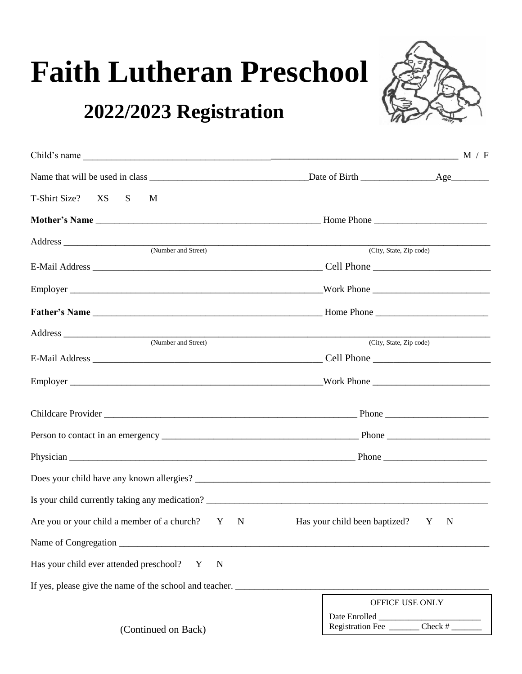# **Faith Lutheran Preschool**

## **2022/2023 Registration**



| Child's name $\frac{M}{F}$                                                                                                                                                                                                                           |                                                |  |
|------------------------------------------------------------------------------------------------------------------------------------------------------------------------------------------------------------------------------------------------------|------------------------------------------------|--|
|                                                                                                                                                                                                                                                      |                                                |  |
| T-Shirt Size?<br>XS<br>S<br>M                                                                                                                                                                                                                        |                                                |  |
|                                                                                                                                                                                                                                                      |                                                |  |
| Address experiences and the set of the set of the set of the set of the set of the set of the set of the set of the set of the set of the set of the set of the set of the set of the set of the set of the set of the set of<br>(Number and Street) | (City, State, Zip code)                        |  |
|                                                                                                                                                                                                                                                      |                                                |  |
|                                                                                                                                                                                                                                                      |                                                |  |
|                                                                                                                                                                                                                                                      |                                                |  |
| (Number and Street)                                                                                                                                                                                                                                  | (City, State, Zip code)                        |  |
|                                                                                                                                                                                                                                                      |                                                |  |
|                                                                                                                                                                                                                                                      |                                                |  |
|                                                                                                                                                                                                                                                      |                                                |  |
|                                                                                                                                                                                                                                                      |                                                |  |
|                                                                                                                                                                                                                                                      |                                                |  |
|                                                                                                                                                                                                                                                      |                                                |  |
|                                                                                                                                                                                                                                                      |                                                |  |
| Are you or your child a member of a church? Y<br>$\mathbf N$                                                                                                                                                                                         | Has your child been baptized? Y<br>$\mathbf N$ |  |
| Name of Congregation                                                                                                                                                                                                                                 |                                                |  |
| Has your child ever attended preschool?<br>N<br>Y                                                                                                                                                                                                    |                                                |  |
| If yes, please give the name of the school and teacher.                                                                                                                                                                                              |                                                |  |
| (Continued on Back)                                                                                                                                                                                                                                  | OFFICE USE ONLY                                |  |